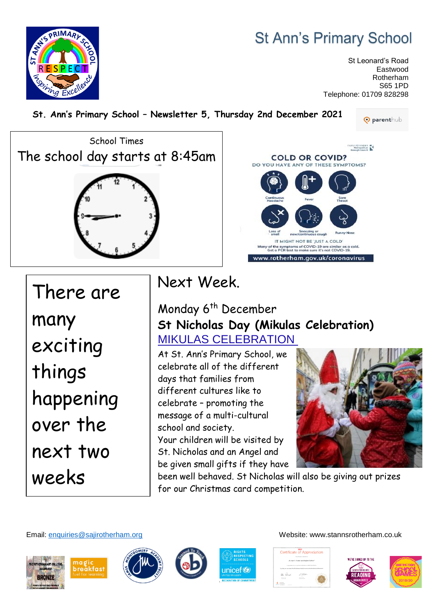# **St Ann's Primary School**

St Leonard's Road Eastwood Rotherham S65 1PD Telephone: 01709 828298

**St. Ann's Primary School – Newsletter 5, Thursday 2nd December 2021**

**O** parenthub





There are many exciting things happening over the next two weeks

E RESPRIMARY

# Next Week.

## Monday 6<sup>th</sup> December **St Nicholas Day (Mikulas Celebration[\)](https://www.google.co.uk/url?sa=t&rct=j&q=&esrc=s&source=web&cd=&cad=rja&uact=8&ved=2ahUKEwiGi5KY2MT0AhUFoVwKHdA3DyIQFnoECCQQAQ&url=https%3A%2F%2Fwww.welcometobratislava.eu%2Fmikulas-celebration-in-slovakia%2F&usg=AOvVaw1qQbAwgCWrtP1HJUJEQ2PH)** [MIKULAS CELEBRATION](https://www.google.co.uk/url?sa=t&rct=j&q=&esrc=s&source=web&cd=&cad=rja&uact=8&ved=2ahUKEwiGi5KY2MT0AhUFoVwKHdA3DyIQFnoECCQQAQ&url=https%3A%2F%2Fwww.welcometobratislava.eu%2Fmikulas-celebration-in-slovakia%2F&usg=AOvVaw1qQbAwgCWrtP1HJUJEQ2PH)

At St. Ann's Primary School, we celebrate all of the different days that families from different cultures like to celebrate – promoting the message of a multi-cultural school and society. Your children will be visited by St. Nicholas and an Angel and

be given small gifts if they have



been well behaved. St Nicholas will also be giving out prizes for our Christmas card competition.

Email: [enquiries@sajirotherham.org](mailto:enquiries@sajirotherham.org) Website: www.stannsrotherham.co.uk